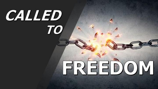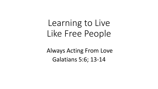## Learning to Live Like Free People

Always Acting From Love Galatians 5:6; 13-14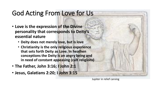## God Acting From Love for Us

- **Love is the expression of the Divine personality that corresponds to Deity's essential nature**
	- **Deity does not merely love, but is love**
	- **Christianity is the only religious experience that sets forth Deity as Love. In heathen conceptions the Deity is an angry being and in need of constant appeasing (cult religions)**
- **The Father, John 3:16; I John 2:1**
- **Jesus, Galatians 2:20; I John 3:15**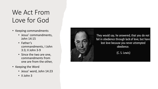## We Act From Love for God

- Keeping commandments
	- Jesus' commandments, John 14:15
	- Father's commandments, I John 3:3; II John 3-9
	- Since the two are one, commandments from one are from the other,
- Keeping the Word
	- Jesus' word, John 14:23
	- II John 3

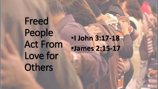Freed People Act From Love for **Others** 

•**I John 3:17-18** •**James 2:15-17**